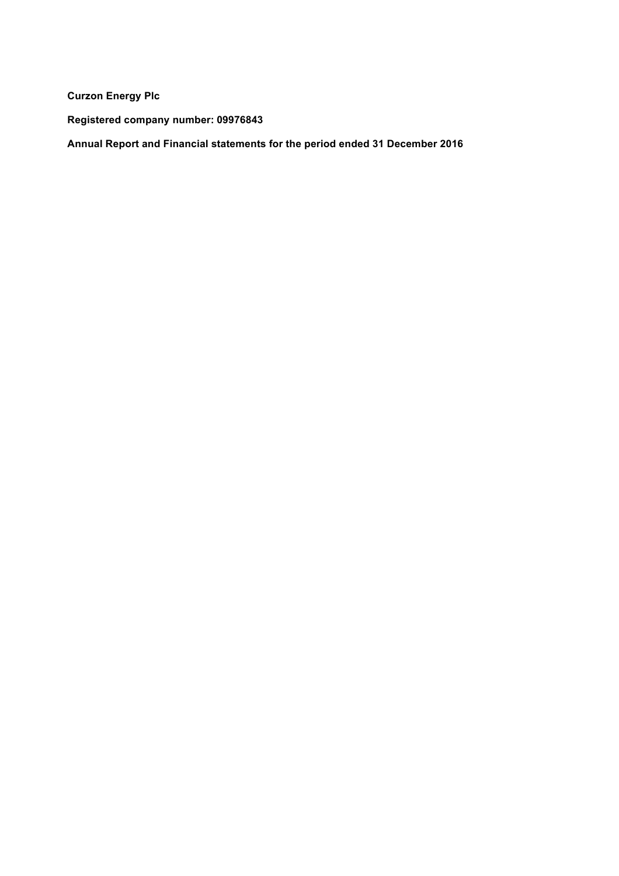**Curzon Energy Plc** 

**Registered company number: 09976843**

**Annual Report and Financial statements for the period ended 31 December 2016**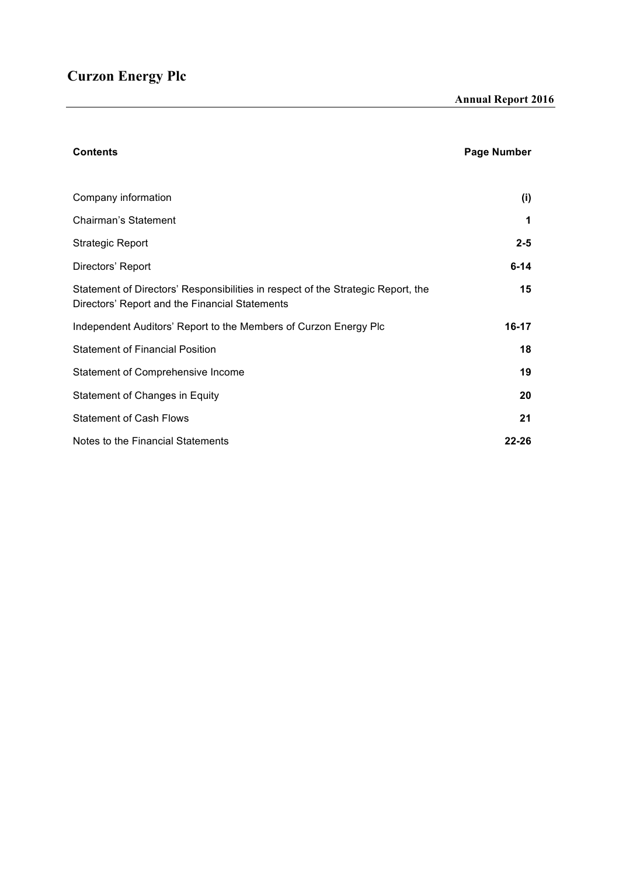# **Curzon Energy Plc**

# **Contents Page Number**

| Company information                                                                                                                | (i)      |
|------------------------------------------------------------------------------------------------------------------------------------|----------|
| Chairman's Statement                                                                                                               | 1        |
| Strategic Report                                                                                                                   | $2 - 5$  |
| Directors' Report                                                                                                                  | $6 - 14$ |
| Statement of Directors' Responsibilities in respect of the Strategic Report, the<br>Directors' Report and the Financial Statements | 15       |
| Independent Auditors' Report to the Members of Curzon Energy Plc                                                                   | $16-17$  |
| <b>Statement of Financial Position</b>                                                                                             | 18       |
| Statement of Comprehensive Income                                                                                                  | 19       |
| Statement of Changes in Equity                                                                                                     | 20       |
| <b>Statement of Cash Flows</b>                                                                                                     | 21       |
| Notes to the Financial Statements                                                                                                  | 22-26    |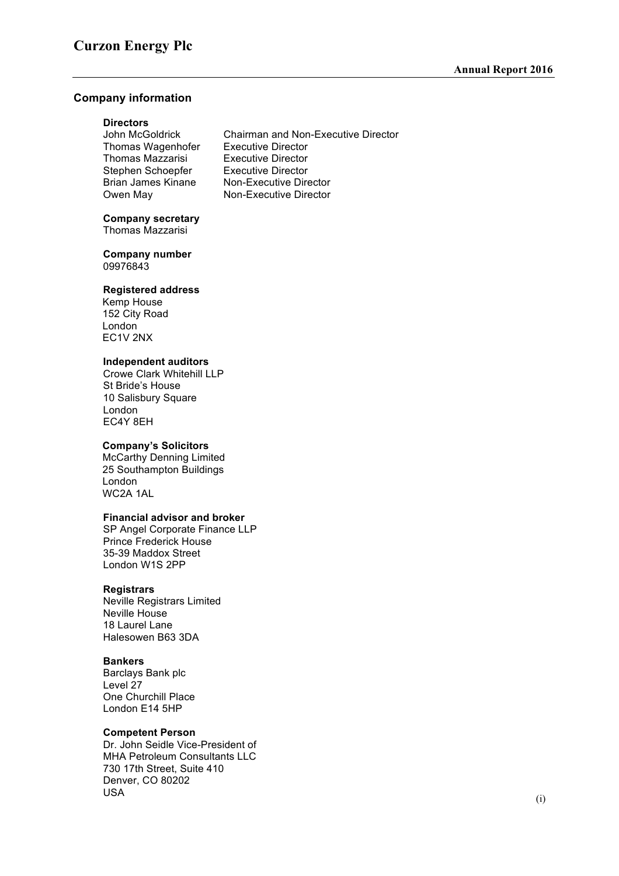#### **Company information**

#### **Directors**

John McGoldrick Chairman and Non-Executive Director Thomas Wagenhofer Executive Director Thomas Mazzarisi Executive Director Stephen Schoepfer

Brian James Kinane Non-Executive Director Owen May Non-Executive Director

**Company secretary** Thomas Mazzarisi

**Company number** 09976843

# **Registered address**

 Kemp House 152 City Road London EC1V 2NX

#### **Independent auditors**

Crowe Clark Whitehill LLP St Bride's House 10 Salisbury Square London EC4Y 8EH

#### **Company's Solicitors**

 McCarthy Denning Limited 25 Southampton Buildings London WC2A 1AL

#### **Financial advisor and broker**

SP Angel Corporate Finance LLP Prince Frederick House 35-39 Maddox Street London W1S 2PP

#### **Registrars**

Neville Registrars Limited Neville House 18 Laurel Lane Halesowen B63 3DA

#### **Bankers**

Barclays Bank plc Level 27 One Churchill Place London E14 5HP

#### **Competent Person**

Dr. John Seidle Vice-President of MHA Petroleum Consultants LLC 730 17th Street, Suite 410 Denver, CO 80202 USA(i)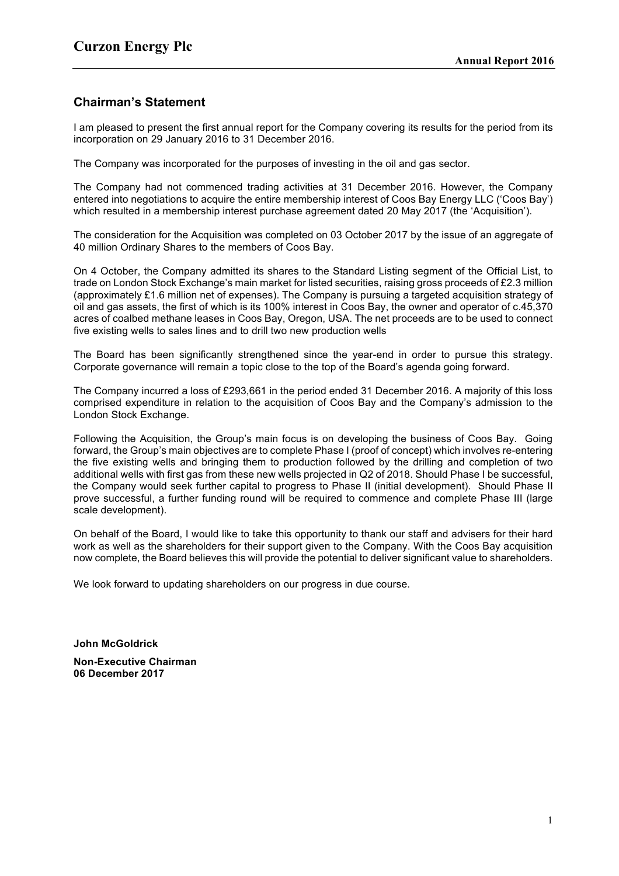# **Chairman's Statement**

I am pleased to present the first annual report for the Company covering its results for the period from its incorporation on 29 January 2016 to 31 December 2016.

The Company was incorporated for the purposes of investing in the oil and gas sector.

The Company had not commenced trading activities at 31 December 2016. However, the Company entered into negotiations to acquire the entire membership interest of Coos Bay Energy LLC ('Coos Bay') which resulted in a membership interest purchase agreement dated 20 May 2017 (the 'Acquisition').

The consideration for the Acquisition was completed on 03 October 2017 by the issue of an aggregate of 40 million Ordinary Shares to the members of Coos Bay.

On 4 October, the Company admitted its shares to the Standard Listing segment of the Official List, to trade on London Stock Exchange's main market for listed securities, raising gross proceeds of £2.3 million (approximately £1.6 million net of expenses). The Company is pursuing a targeted acquisition strategy of oil and gas assets, the first of which is its 100% interest in Coos Bay, the owner and operator of c.45,370 acres of coalbed methane leases in Coos Bay, Oregon, USA. The net proceeds are to be used to connect five existing wells to sales lines and to drill two new production wells

The Board has been significantly strengthened since the year-end in order to pursue this strategy. Corporate governance will remain a topic close to the top of the Board's agenda going forward.

The Company incurred a loss of £293,661 in the period ended 31 December 2016. A majority of this loss comprised expenditure in relation to the acquisition of Coos Bay and the Company's admission to the London Stock Exchange.

Following the Acquisition, the Group's main focus is on developing the business of Coos Bay. Going forward, the Group's main objectives are to complete Phase I (proof of concept) which involves re-entering the five existing wells and bringing them to production followed by the drilling and completion of two additional wells with first gas from these new wells projected in Q2 of 2018. Should Phase I be successful, the Company would seek further capital to progress to Phase II (initial development). Should Phase II prove successful, a further funding round will be required to commence and complete Phase III (large scale development).

On behalf of the Board, I would like to take this opportunity to thank our staff and advisers for their hard work as well as the shareholders for their support given to the Company. With the Coos Bay acquisition now complete, the Board believes this will provide the potential to deliver significant value to shareholders.

We look forward to updating shareholders on our progress in due course.

**John McGoldrick Non-Executive Chairman 06 December 2017**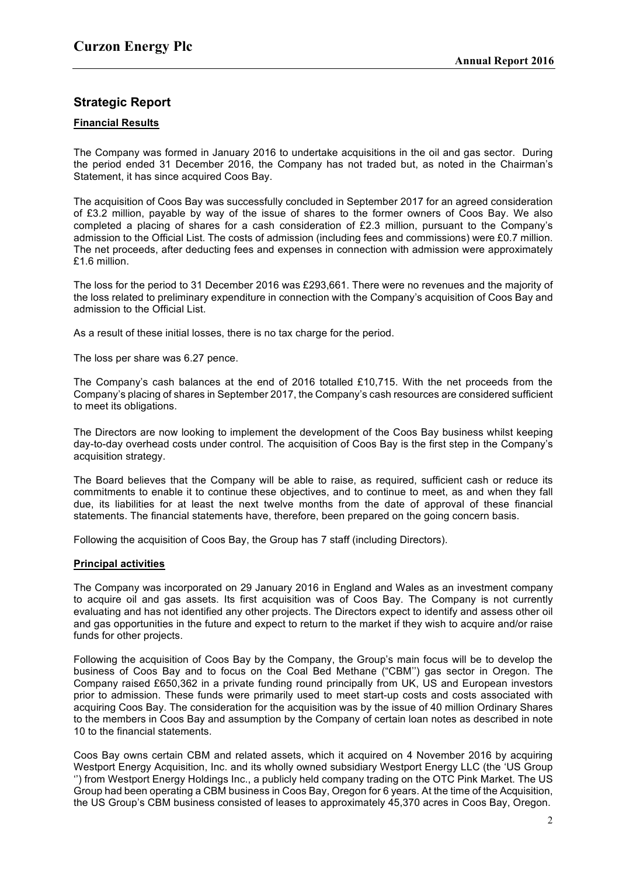# **Strategic Report**

#### **Financial Results**

The Company was formed in January 2016 to undertake acquisitions in the oil and gas sector. During the period ended 31 December 2016, the Company has not traded but, as noted in the Chairman's Statement, it has since acquired Coos Bay.

The acquisition of Coos Bay was successfully concluded in September 2017 for an agreed consideration of £3.2 million, payable by way of the issue of shares to the former owners of Coos Bay. We also completed a placing of shares for a cash consideration of £2.3 million, pursuant to the Company's admission to the Official List. The costs of admission (including fees and commissions) were £0.7 million. The net proceeds, after deducting fees and expenses in connection with admission were approximately £1.6 million.

The loss for the period to 31 December 2016 was £293,661. There were no revenues and the majority of the loss related to preliminary expenditure in connection with the Company's acquisition of Coos Bay and admission to the Official List.

As a result of these initial losses, there is no tax charge for the period.

The loss per share was 6.27 pence.

The Company's cash balances at the end of 2016 totalled £10,715. With the net proceeds from the Company's placing of shares in September 2017, the Company's cash resources are considered sufficient to meet its obligations.

The Directors are now looking to implement the development of the Coos Bay business whilst keeping day-to-day overhead costs under control. The acquisition of Coos Bay is the first step in the Company's acquisition strategy.

The Board believes that the Company will be able to raise, as required, sufficient cash or reduce its commitments to enable it to continue these objectives, and to continue to meet, as and when they fall due, its liabilities for at least the next twelve months from the date of approval of these financial statements. The financial statements have, therefore, been prepared on the going concern basis.

Following the acquisition of Coos Bay, the Group has 7 staff (including Directors).

#### **Principal activities**

The Company was incorporated on 29 January 2016 in England and Wales as an investment company to acquire oil and gas assets. Its first acquisition was of Coos Bay. The Company is not currently evaluating and has not identified any other projects. The Directors expect to identify and assess other oil and gas opportunities in the future and expect to return to the market if they wish to acquire and/or raise funds for other projects.

Following the acquisition of Coos Bay by the Company, the Group's main focus will be to develop the business of Coos Bay and to focus on the Coal Bed Methane ("CBM'') gas sector in Oregon. The Company raised £650,362 in a private funding round principally from UK, US and European investors prior to admission. These funds were primarily used to meet start-up costs and costs associated with acquiring Coos Bay. The consideration for the acquisition was by the issue of 40 million Ordinary Shares to the members in Coos Bay and assumption by the Company of certain loan notes as described in note 10 to the financial statements.

Coos Bay owns certain CBM and related assets, which it acquired on 4 November 2016 by acquiring Westport Energy Acquisition, Inc. and its wholly owned subsidiary Westport Energy LLC (the 'US Group '') from Westport Energy Holdings Inc., a publicly held company trading on the OTC Pink Market. The US Group had been operating a CBM business in Coos Bay, Oregon for 6 years. At the time of the Acquisition, the US Group's CBM business consisted of leases to approximately 45,370 acres in Coos Bay, Oregon.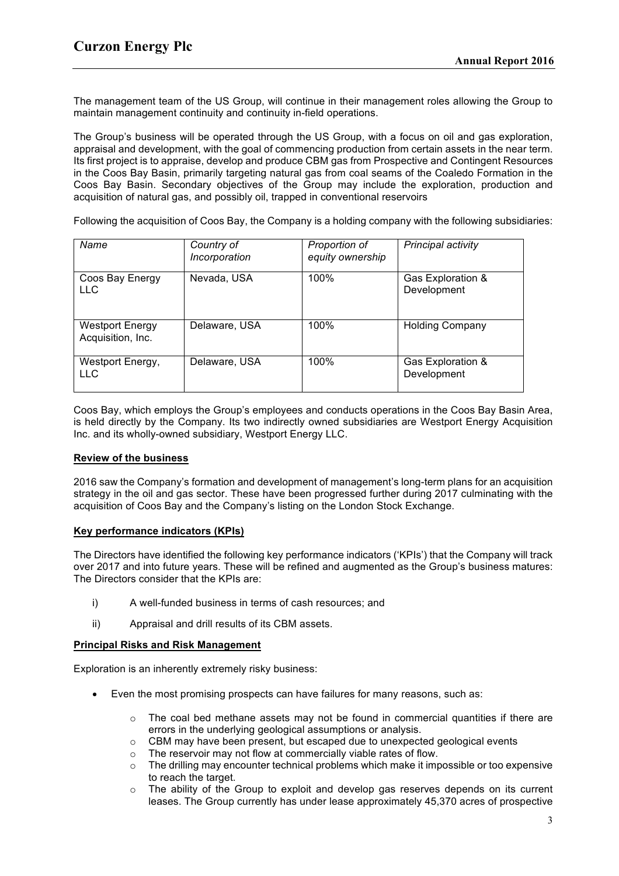The management team of the US Group, will continue in their management roles allowing the Group to maintain management continuity and continuity in-field operations.

The Group's business will be operated through the US Group, with a focus on oil and gas exploration, appraisal and development, with the goal of commencing production from certain assets in the near term. Its first project is to appraise, develop and produce CBM gas from Prospective and Contingent Resources in the Coos Bay Basin, primarily targeting natural gas from coal seams of the Coaledo Formation in the Coos Bay Basin. Secondary objectives of the Group may include the exploration, production and acquisition of natural gas, and possibly oil, trapped in conventional reservoirs

Following the acquisition of Coos Bay, the Company is a holding company with the following subsidiaries:

| Name                                        | Country of<br>Incorporation | Proportion of<br>equity ownership | Principal activity               |
|---------------------------------------------|-----------------------------|-----------------------------------|----------------------------------|
| Coos Bay Energy<br><b>LLC</b>               | Nevada, USA                 | 100%                              | Gas Exploration &<br>Development |
| <b>Westport Energy</b><br>Acquisition, Inc. | Delaware, USA               | 100%                              | <b>Holding Company</b>           |
| Westport Energy,<br>LLC                     | Delaware, USA               | 100%                              | Gas Exploration &<br>Development |

Coos Bay, which employs the Group's employees and conducts operations in the Coos Bay Basin Area, is held directly by the Company. Its two indirectly owned subsidiaries are Westport Energy Acquisition Inc. and its wholly-owned subsidiary, Westport Energy LLC.

#### **Review of the business**

2016 saw the Company's formation and development of management's long-term plans for an acquisition strategy in the oil and gas sector. These have been progressed further during 2017 culminating with the acquisition of Coos Bay and the Company's listing on the London Stock Exchange.

#### **Key performance indicators (KPIs)**

The Directors have identified the following key performance indicators ('KPIs') that the Company will track over 2017 and into future years. These will be refined and augmented as the Group's business matures: The Directors consider that the KPIs are:

- i) A well-funded business in terms of cash resources; and
- ii) Appraisal and drill results of its CBM assets.

#### **Principal Risks and Risk Management**

Exploration is an inherently extremely risky business:

- Even the most promising prospects can have failures for many reasons, such as:
	- $\circ$  The coal bed methane assets may not be found in commercial quantities if there are errors in the underlying geological assumptions or analysis.
	- $\circ$  CBM may have been present, but escaped due to unexpected geological events
	- o The reservoir may not flow at commercially viable rates of flow.
	- $\circ$  The drilling may encounter technical problems which make it impossible or too expensive to reach the target.
	- o The ability of the Group to exploit and develop gas reserves depends on its current leases. The Group currently has under lease approximately 45,370 acres of prospective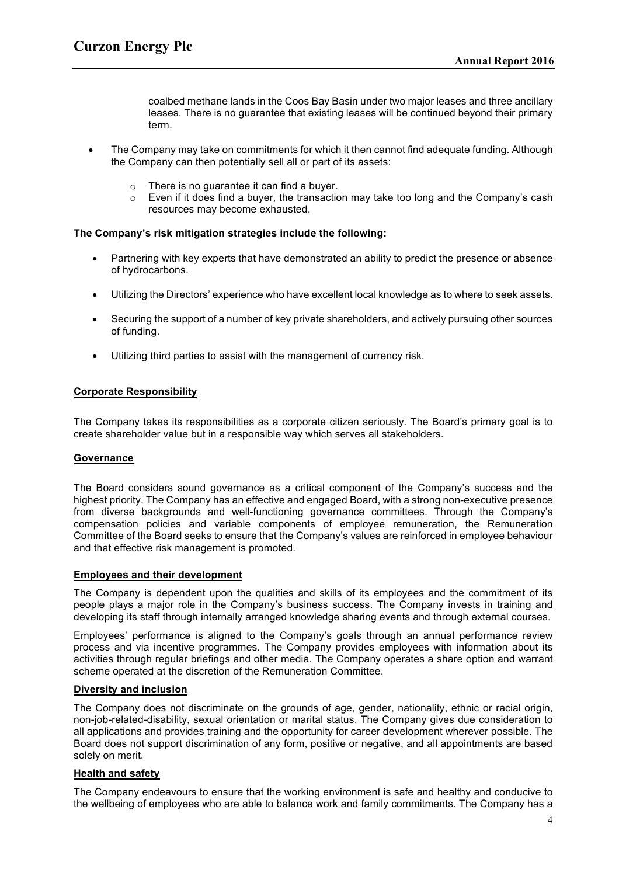coalbed methane lands in the Coos Bay Basin under two major leases and three ancillary leases. There is no guarantee that existing leases will be continued beyond their primary term.

- The Company may take on commitments for which it then cannot find adequate funding. Although the Company can then potentially sell all or part of its assets:
	- o There is no guarantee it can find a buyer.
	- o Even if it does find a buyer, the transaction may take too long and the Company's cash resources may become exhausted.

#### **The Company's risk mitigation strategies include the following:**

- Partnering with key experts that have demonstrated an ability to predict the presence or absence of hydrocarbons.
- Utilizing the Directors' experience who have excellent local knowledge as to where to seek assets.
- Securing the support of a number of key private shareholders, and actively pursuing other sources of funding.
- Utilizing third parties to assist with the management of currency risk.

#### **Corporate Responsibility**

The Company takes its responsibilities as a corporate citizen seriously. The Board's primary goal is to create shareholder value but in a responsible way which serves all stakeholders.

#### **Governance**

The Board considers sound governance as a critical component of the Company's success and the highest priority. The Company has an effective and engaged Board, with a strong non-executive presence from diverse backgrounds and well-functioning governance committees. Through the Company's compensation policies and variable components of employee remuneration, the Remuneration Committee of the Board seeks to ensure that the Company's values are reinforced in employee behaviour and that effective risk management is promoted.

#### **Employees and their development**

The Company is dependent upon the qualities and skills of its employees and the commitment of its people plays a major role in the Company's business success. The Company invests in training and developing its staff through internally arranged knowledge sharing events and through external courses.

Employees' performance is aligned to the Company's goals through an annual performance review process and via incentive programmes. The Company provides employees with information about its activities through regular briefings and other media. The Company operates a share option and warrant scheme operated at the discretion of the Remuneration Committee.

#### **Diversity and inclusion**

The Company does not discriminate on the grounds of age, gender, nationality, ethnic or racial origin, non-job-related-disability, sexual orientation or marital status. The Company gives due consideration to all applications and provides training and the opportunity for career development wherever possible. The Board does not support discrimination of any form, positive or negative, and all appointments are based solely on merit.

#### **Health and safety**

The Company endeavours to ensure that the working environment is safe and healthy and conducive to the wellbeing of employees who are able to balance work and family commitments. The Company has a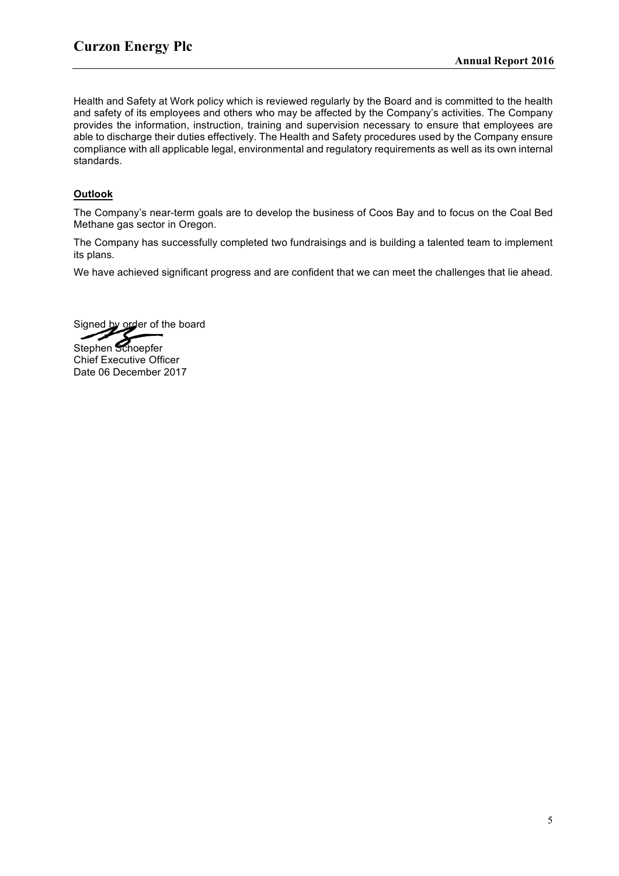Health and Safety at Work policy which is reviewed regularly by the Board and is committed to the health and safety of its employees and others who may be affected by the Company's activities. The Company provides the information, instruction, training and supervision necessary to ensure that employees are able to discharge their duties effectively. The Health and Safety procedures used by the Company ensure compliance with all applicable legal, environmental and regulatory requirements as well as its own internal standards.

### **Outlook**

The Company's near-term goals are to develop the business of Coos Bay and to focus on the Coal Bed Methane gas sector in Oregon.

The Company has successfully completed two fundraisings and is building a talented team to implement its plans.

We have achieved significant progress and are confident that we can meet the challenges that lie ahead.

Signed by order of the board

Stephen Schoepfer Chief Executive Officer Date 06 December 2017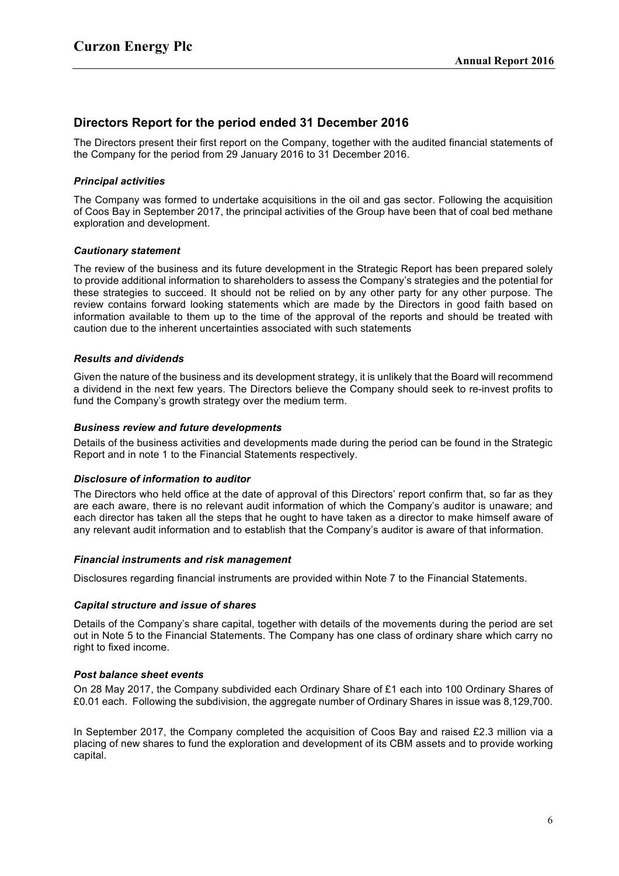# **Directors Report for the period ended 31 December 2016**

The Directors present their first report on the Company, together with the audited financial statements of the Company for the period from 29 January 2016 to 31 December 2016.

### *Principal activities*

The Company was formed to undertake acquisitions in the oil and gas sector. Following the acquisition of Coos Bay in September 2017, the principal activities of the Group have been that of coal bed methane exploration and development.

#### *Cautionary statement*

The review of the business and its future development in the Strategic Report has been prepared solely to provide additional information to shareholders to assess the Company's strategies and the potential for these strategies to succeed. It should not be relied on by any other party for any other purpose. The review contains forward looking statements which are made by the Directors in good faith based on information available to them up to the time of the approval of the reports and should be treated with caution due to the inherent uncertainties associated with such statements

#### *Results and dividends*

Given the nature of the business and its development strategy, it is unlikely that the Board will recommend a dividend in the next few years. The Directors believe the Company should seek to re-invest profits to fund the Company's growth strategy over the medium term.

#### *Business review and future developments*

Details of the business activities and developments made during the period can be found in the Strategic Report and in note 1 to the Financial Statements respectively.

#### *Disclosure of information to auditor*

The Directors who held office at the date of approval of this Directors' report confirm that, so far as they are each aware, there is no relevant audit information of which the Company's auditor is unaware; and each director has taken all the steps that he ought to have taken as a director to make himself aware of any relevant audit information and to establish that the Company's auditor is aware of that information.

#### *Financial instruments and risk management*

Disclosures regarding financial instruments are provided within Note 7 to the Financial Statements.

#### *Capital structure and issue of shares*

Details of the Company's share capital, together with details of the movements during the period are set out in Note 5 to the Financial Statements. The Company has one class of ordinary share which carry no right to fixed income.

#### *Post balance sheet events*

On 28 May 2017, the Company subdivided each Ordinary Share of £1 each into 100 Ordinary Shares of £0.01 each. Following the subdivision, the aggregate number of Ordinary Shares in issue was 8,129,700.

In September 2017, the Company completed the acquisition of Coos Bay and raised £2.3 million via a placing of new shares to fund the exploration and development of its CBM assets and to provide working capital.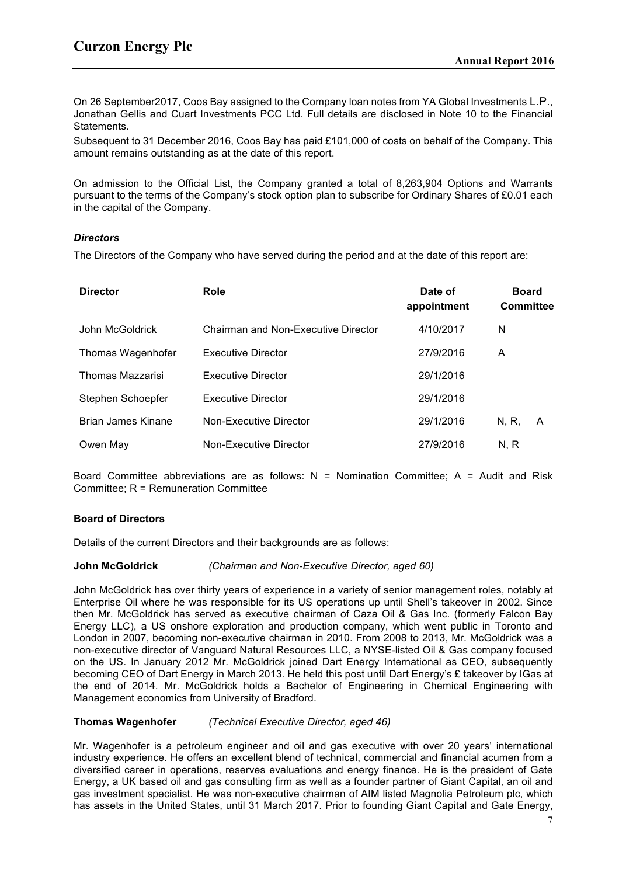On 26 September2017, Coos Bay assigned to the Company loan notes from YA Global Investments L.P., Jonathan Gellis and Cuart Investments PCC Ltd. Full details are disclosed in Note 10 to the Financial **Statements** 

Subsequent to 31 December 2016, Coos Bay has paid £101,000 of costs on behalf of the Company. This amount remains outstanding as at the date of this report.

On admission to the Official List, the Company granted a total of 8,263,904 Options and Warrants pursuant to the terms of the Company's stock option plan to subscribe for Ordinary Shares of £0.01 each in the capital of the Company.

#### *Directors*

The Directors of the Company who have served during the period and at the date of this report are:

| <b>Director</b>    | Role                                | Date of<br>appointment | <b>Board</b><br><b>Committee</b> |
|--------------------|-------------------------------------|------------------------|----------------------------------|
| John McGoldrick    | Chairman and Non-Executive Director | 4/10/2017              | N                                |
| Thomas Wagenhofer  | Executive Director                  | 27/9/2016              | A                                |
| Thomas Mazzarisi   | Executive Director                  | 29/1/2016              |                                  |
| Stephen Schoepfer  | Executive Director                  | 29/1/2016              |                                  |
| Brian James Kinane | Non-Executive Director              | 29/1/2016              | N, R,<br>A                       |
| Owen May           | Non-Executive Director              | 27/9/2016              | N, R                             |

Board Committee abbreviations are as follows:  $N =$  Nomination Committee; A = Audit and Risk Committee; R = Remuneration Committee

#### **Board of Directors**

Details of the current Directors and their backgrounds are as follows:

#### **John McGoldrick** *(Chairman and Non-Executive Director, aged 60)*

John McGoldrick has over thirty years of experience in a variety of senior management roles, notably at Enterprise Oil where he was responsible for its US operations up until Shell's takeover in 2002. Since then Mr. McGoldrick has served as executive chairman of Caza Oil & Gas Inc. (formerly Falcon Bay Energy LLC), a US onshore exploration and production company, which went public in Toronto and London in 2007, becoming non-executive chairman in 2010. From 2008 to 2013, Mr. McGoldrick was a non-executive director of Vanguard Natural Resources LLC, a NYSE-listed Oil & Gas company focused on the US. In January 2012 Mr. McGoldrick joined Dart Energy International as CEO, subsequently becoming CEO of Dart Energy in March 2013. He held this post until Dart Energy's £ takeover by IGas at the end of 2014. Mr. McGoldrick holds a Bachelor of Engineering in Chemical Engineering with Management economics from University of Bradford.

#### **Thomas Wagenhofer** *(Technical Executive Director, aged 46)*

Mr. Wagenhofer is a petroleum engineer and oil and gas executive with over 20 years' international industry experience. He offers an excellent blend of technical, commercial and financial acumen from a diversified career in operations, reserves evaluations and energy finance. He is the president of Gate Energy, a UK based oil and gas consulting firm as well as a founder partner of Giant Capital, an oil and gas investment specialist. He was non-executive chairman of AIM listed Magnolia Petroleum plc, which has assets in the United States, until 31 March 2017. Prior to founding Giant Capital and Gate Energy,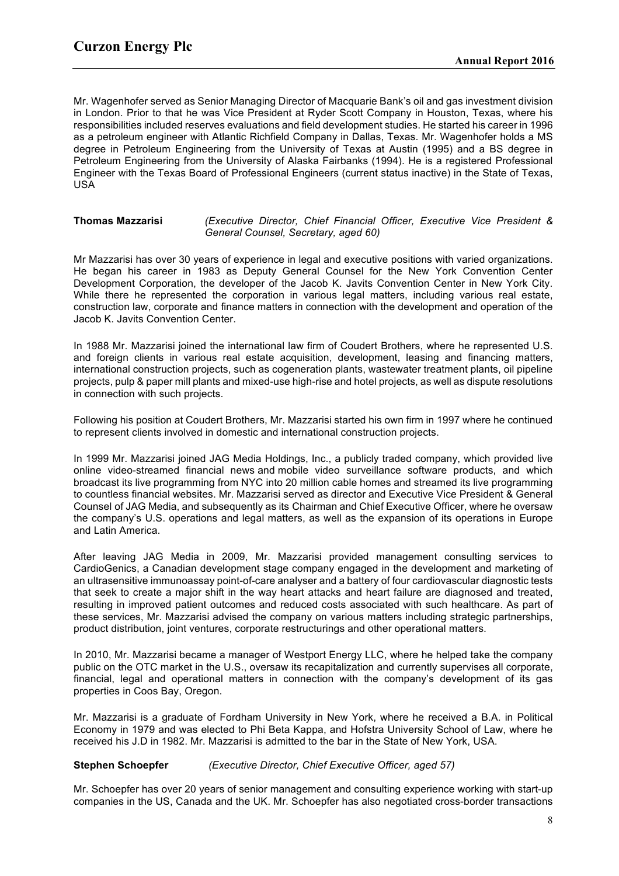Mr. Wagenhofer served as Senior Managing Director of Macquarie Bank's oil and gas investment division in London. Prior to that he was Vice President at Ryder Scott Company in Houston, Texas, where his responsibilities included reserves evaluations and field development studies. He started his career in 1996 as a petroleum engineer with Atlantic Richfield Company in Dallas, Texas. Mr. Wagenhofer holds a MS degree in Petroleum Engineering from the University of Texas at Austin (1995) and a BS degree in Petroleum Engineering from the University of Alaska Fairbanks (1994). He is a registered Professional Engineer with the Texas Board of Professional Engineers (current status inactive) in the State of Texas, USA

#### **Thomas Mazzarisi** *(Executive Director, Chief Financial Officer, Executive Vice President & General Counsel, Secretary, aged 60)*

Mr Mazzarisi has over 30 years of experience in legal and executive positions with varied organizations. He began his career in 1983 as Deputy General Counsel for the New York Convention Center Development Corporation, the developer of the Jacob K. Javits Convention Center in New York City. While there he represented the corporation in various legal matters, including various real estate, construction law, corporate and finance matters in connection with the development and operation of the Jacob K. Javits Convention Center.

In 1988 Mr. Mazzarisi joined the international law firm of Coudert Brothers, where he represented U.S. and foreign clients in various real estate acquisition, development, leasing and financing matters, international construction projects, such as cogeneration plants, wastewater treatment plants, oil pipeline projects, pulp & paper mill plants and mixed-use high-rise and hotel projects, as well as dispute resolutions in connection with such projects.

Following his position at Coudert Brothers, Mr. Mazzarisi started his own firm in 1997 where he continued to represent clients involved in domestic and international construction projects.

In 1999 Mr. Mazzarisi joined JAG Media Holdings, Inc., a publicly traded company, which provided live online video-streamed financial news and mobile video surveillance software products, and which broadcast its live programming from NYC into 20 million cable homes and streamed its live programming to countless financial websites. Mr. Mazzarisi served as director and Executive Vice President & General Counsel of JAG Media, and subsequently as its Chairman and Chief Executive Officer, where he oversaw the company's U.S. operations and legal matters, as well as the expansion of its operations in Europe and Latin America.

After leaving JAG Media in 2009, Mr. Mazzarisi provided management consulting services to CardioGenics, a Canadian development stage company engaged in the development and marketing of an ultrasensitive immunoassay point-of-care analyser and a battery of four cardiovascular diagnostic tests that seek to create a major shift in the way heart attacks and heart failure are diagnosed and treated, resulting in improved patient outcomes and reduced costs associated with such healthcare. As part of these services, Mr. Mazzarisi advised the company on various matters including strategic partnerships, product distribution, joint ventures, corporate restructurings and other operational matters.

In 2010, Mr. Mazzarisi became a manager of Westport Energy LLC, where he helped take the company public on the OTC market in the U.S., oversaw its recapitalization and currently supervises all corporate, financial, legal and operational matters in connection with the company's development of its gas properties in Coos Bay, Oregon.

Mr. Mazzarisi is a graduate of Fordham University in New York, where he received a B.A. in Political Economy in 1979 and was elected to Phi Beta Kappa, and Hofstra University School of Law, where he received his J.D in 1982. Mr. Mazzarisi is admitted to the bar in the State of New York, USA.

#### **Stephen Schoepfer** *(Executive Director, Chief Executive Officer, aged 57)*

Mr. Schoepfer has over 20 years of senior management and consulting experience working with start-up companies in the US, Canada and the UK. Mr. Schoepfer has also negotiated cross-border transactions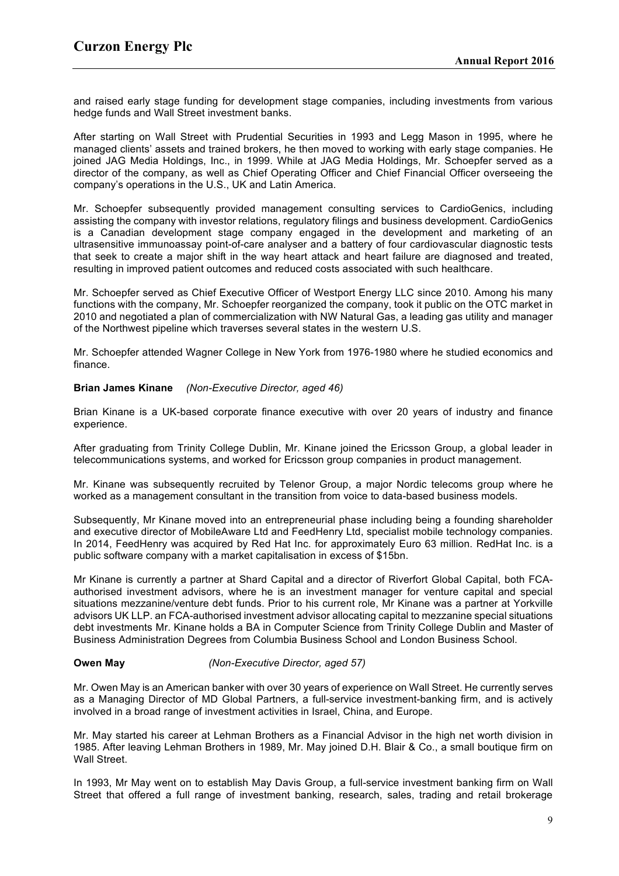and raised early stage funding for development stage companies, including investments from various hedge funds and Wall Street investment banks.

After starting on Wall Street with Prudential Securities in 1993 and Legg Mason in 1995, where he managed clients' assets and trained brokers, he then moved to working with early stage companies. He joined JAG Media Holdings, Inc., in 1999. While at JAG Media Holdings, Mr. Schoepfer served as a director of the company, as well as Chief Operating Officer and Chief Financial Officer overseeing the company's operations in the U.S., UK and Latin America.

Mr. Schoepfer subsequently provided management consulting services to CardioGenics, including assisting the company with investor relations, regulatory filings and business development. CardioGenics is a Canadian development stage company engaged in the development and marketing of an ultrasensitive immunoassay point-of-care analyser and a battery of four cardiovascular diagnostic tests that seek to create a major shift in the way heart attack and heart failure are diagnosed and treated, resulting in improved patient outcomes and reduced costs associated with such healthcare.

Mr. Schoepfer served as Chief Executive Officer of Westport Energy LLC since 2010. Among his many functions with the company, Mr. Schoepfer reorganized the company, took it public on the OTC market in 2010 and negotiated a plan of commercialization with NW Natural Gas, a leading gas utility and manager of the Northwest pipeline which traverses several states in the western U.S.

Mr. Schoepfer attended Wagner College in New York from 1976-1980 where he studied economics and finance.

**Brian James Kinane** *(Non-Executive Director, aged 46)*

Brian Kinane is a UK-based corporate finance executive with over 20 years of industry and finance experience.

After graduating from Trinity College Dublin, Mr. Kinane joined the Ericsson Group, a global leader in telecommunications systems, and worked for Ericsson group companies in product management.

Mr. Kinane was subsequently recruited by Telenor Group, a major Nordic telecoms group where he worked as a management consultant in the transition from voice to data-based business models.

Subsequently, Mr Kinane moved into an entrepreneurial phase including being a founding shareholder and executive director of MobileAware Ltd and FeedHenry Ltd, specialist mobile technology companies. In 2014, FeedHenry was acquired by Red Hat Inc. for approximately Euro 63 million. RedHat Inc. is a public software company with a market capitalisation in excess of \$15bn.

Mr Kinane is currently a partner at Shard Capital and a director of Riverfort Global Capital, both FCAauthorised investment advisors, where he is an investment manager for venture capital and special situations mezzanine/venture debt funds. Prior to his current role, Mr Kinane was a partner at Yorkville advisors UK LLP. an FCA-authorised investment advisor allocating capital to mezzanine special situations debt investments Mr. Kinane holds a BA in Computer Science from Trinity College Dublin and Master of Business Administration Degrees from Columbia Business School and London Business School.

**Owen May** *(Non-Executive Director, aged 57)*

Mr. Owen May is an American banker with over 30 years of experience on Wall Street. He currently serves as a Managing Director of MD Global Partners, a full-service investment-banking firm, and is actively involved in a broad range of investment activities in Israel, China, and Europe.

Mr. May started his career at Lehman Brothers as a Financial Advisor in the high net worth division in 1985. After leaving Lehman Brothers in 1989, Mr. May joined D.H. Blair & Co., a small boutique firm on Wall Street.

In 1993, Mr May went on to establish May Davis Group, a full-service investment banking firm on Wall Street that offered a full range of investment banking, research, sales, trading and retail brokerage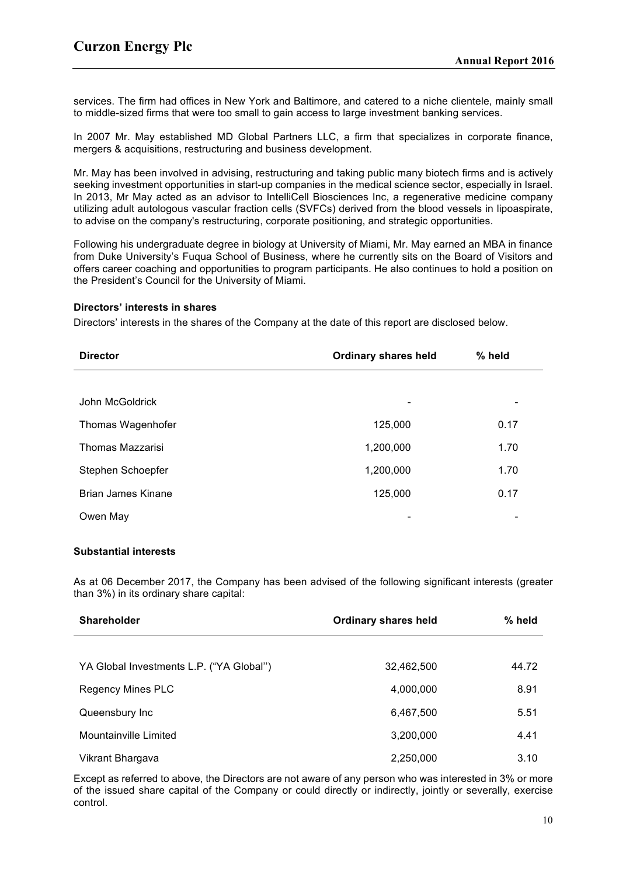services. The firm had offices in New York and Baltimore, and catered to a niche clientele, mainly small to middle-sized firms that were too small to gain access to large investment banking services.

In 2007 Mr. May established MD Global Partners LLC, a firm that specializes in corporate finance, mergers & acquisitions, restructuring and business development.

Mr. May has been involved in advising, restructuring and taking public many biotech firms and is actively seeking investment opportunities in start-up companies in the medical science sector, especially in Israel. In 2013, Mr May acted as an advisor to IntelliCell Biosciences Inc, a regenerative medicine company utilizing adult autologous vascular fraction cells (SVFCs) derived from the blood vessels in lipoaspirate, to advise on the company's restructuring, corporate positioning, and strategic opportunities.

Following his undergraduate degree in biology at University of Miami, Mr. May earned an MBA in finance from Duke University's Fuqua School of Business, where he currently sits on the Board of Visitors and offers career coaching and opportunities to program participants. He also continues to hold a position on the President's Council for the University of Miami.

#### **Directors' interests in shares**

Directors' interests in the shares of the Company at the date of this report are disclosed below.

| <b>Director</b>         | <b>Ordinary shares held</b> | % held |
|-------------------------|-----------------------------|--------|
|                         |                             |        |
| John McGoldrick         |                             | -      |
| Thomas Wagenhofer       | 125,000                     | 0.17   |
| <b>Thomas Mazzarisi</b> | 1,200,000                   | 1.70   |
| Stephen Schoepfer       | 1,200,000                   | 1.70   |
| Brian James Kinane      | 125,000                     | 0.17   |
| Owen May                |                             | -      |

#### **Substantial interests**

As at 06 December 2017, the Company has been advised of the following significant interests (greater than 3%) in its ordinary share capital:

| <b>Shareholder</b><br><b>Ordinary shares held</b> |            | % held |
|---------------------------------------------------|------------|--------|
|                                                   |            |        |
| YA Global Investments L.P. ("YA Global")          | 32,462,500 | 44.72  |
| <b>Regency Mines PLC</b>                          | 4,000,000  | 8.91   |
| Queensbury Inc                                    | 6,467,500  | 5.51   |
| Mountainville Limited                             | 3,200,000  | 4.41   |
| Vikrant Bhargava                                  | 2,250,000  | 3.10   |

Except as referred to above, the Directors are not aware of any person who was interested in 3% or more of the issued share capital of the Company or could directly or indirectly, jointly or severally, exercise control.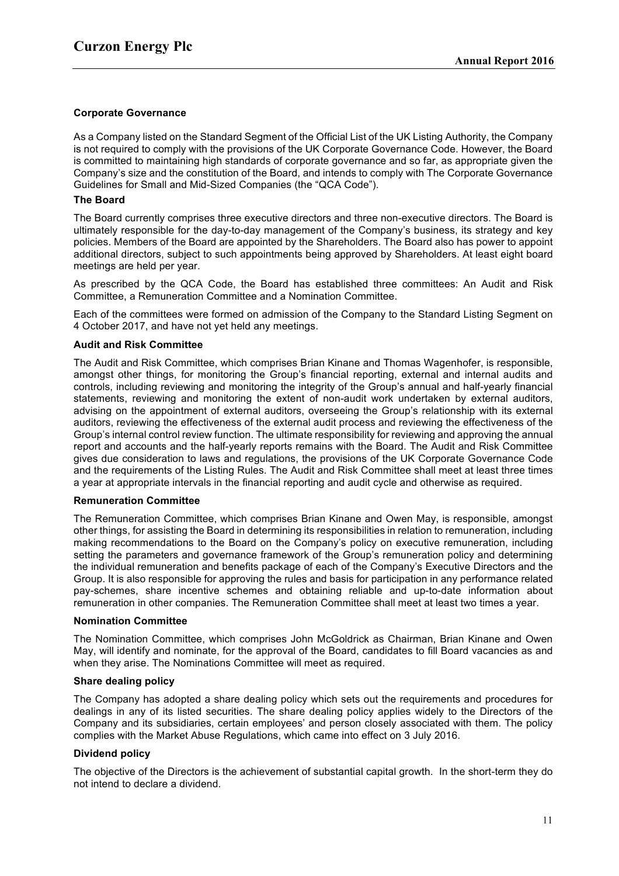#### **Corporate Governance**

As a Company listed on the Standard Segment of the Official List of the UK Listing Authority, the Company is not required to comply with the provisions of the UK Corporate Governance Code. However, the Board is committed to maintaining high standards of corporate governance and so far, as appropriate given the Company's size and the constitution of the Board, and intends to comply with The Corporate Governance Guidelines for Small and Mid-Sized Companies (the "QCA Code").

#### **The Board**

The Board currently comprises three executive directors and three non-executive directors. The Board is ultimately responsible for the day-to-day management of the Company's business, its strategy and key policies. Members of the Board are appointed by the Shareholders. The Board also has power to appoint additional directors, subject to such appointments being approved by Shareholders. At least eight board meetings are held per year.

As prescribed by the QCA Code, the Board has established three committees: An Audit and Risk Committee, a Remuneration Committee and a Nomination Committee.

Each of the committees were formed on admission of the Company to the Standard Listing Segment on 4 October 2017, and have not yet held any meetings.

#### **Audit and Risk Committee**

The Audit and Risk Committee, which comprises Brian Kinane and Thomas Wagenhofer, is responsible, amongst other things, for monitoring the Group's financial reporting, external and internal audits and controls, including reviewing and monitoring the integrity of the Group's annual and half-yearly financial statements, reviewing and monitoring the extent of non-audit work undertaken by external auditors, advising on the appointment of external auditors, overseeing the Group's relationship with its external auditors, reviewing the effectiveness of the external audit process and reviewing the effectiveness of the Group's internal control review function. The ultimate responsibility for reviewing and approving the annual report and accounts and the half-yearly reports remains with the Board. The Audit and Risk Committee gives due consideration to laws and regulations, the provisions of the UK Corporate Governance Code and the requirements of the Listing Rules. The Audit and Risk Committee shall meet at least three times a year at appropriate intervals in the financial reporting and audit cycle and otherwise as required.

#### **Remuneration Committee**

The Remuneration Committee, which comprises Brian Kinane and Owen May, is responsible, amongst other things, for assisting the Board in determining its responsibilities in relation to remuneration, including making recommendations to the Board on the Company's policy on executive remuneration, including setting the parameters and governance framework of the Group's remuneration policy and determining the individual remuneration and benefits package of each of the Company's Executive Directors and the Group. It is also responsible for approving the rules and basis for participation in any performance related pay-schemes, share incentive schemes and obtaining reliable and up-to-date information about remuneration in other companies. The Remuneration Committee shall meet at least two times a year.

#### **Nomination Committee**

The Nomination Committee, which comprises John McGoldrick as Chairman, Brian Kinane and Owen May, will identify and nominate, for the approval of the Board, candidates to fill Board vacancies as and when they arise. The Nominations Committee will meet as required.

#### **Share dealing policy**

The Company has adopted a share dealing policy which sets out the requirements and procedures for dealings in any of its listed securities. The share dealing policy applies widely to the Directors of the Company and its subsidiaries, certain employees' and person closely associated with them. The policy complies with the Market Abuse Regulations, which came into effect on 3 July 2016.

#### **Dividend policy**

The objective of the Directors is the achievement of substantial capital growth. In the short-term they do not intend to declare a dividend.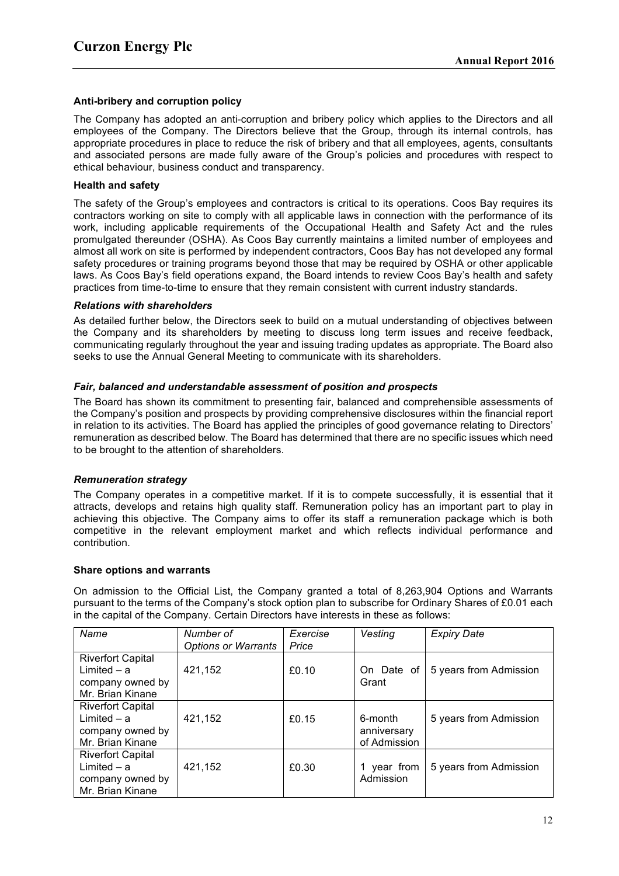#### **Anti-bribery and corruption policy**

The Company has adopted an anti-corruption and bribery policy which applies to the Directors and all employees of the Company. The Directors believe that the Group, through its internal controls, has appropriate procedures in place to reduce the risk of bribery and that all employees, agents, consultants and associated persons are made fully aware of the Group's policies and procedures with respect to ethical behaviour, business conduct and transparency.

#### **Health and safety**

The safety of the Group's employees and contractors is critical to its operations. Coos Bay requires its contractors working on site to comply with all applicable laws in connection with the performance of its work, including applicable requirements of the Occupational Health and Safety Act and the rules promulgated thereunder (OSHA). As Coos Bay currently maintains a limited number of employees and almost all work on site is performed by independent contractors, Coos Bay has not developed any formal safety procedures or training programs beyond those that may be required by OSHA or other applicable laws. As Coos Bay's field operations expand, the Board intends to review Coos Bay's health and safety practices from time-to-time to ensure that they remain consistent with current industry standards.

#### *Relations with shareholders*

As detailed further below, the Directors seek to build on a mutual understanding of objectives between the Company and its shareholders by meeting to discuss long term issues and receive feedback, communicating regularly throughout the year and issuing trading updates as appropriate. The Board also seeks to use the Annual General Meeting to communicate with its shareholders.

#### *Fair, balanced and understandable assessment of position and prospects*

The Board has shown its commitment to presenting fair, balanced and comprehensible assessments of the Company's position and prospects by providing comprehensive disclosures within the financial report in relation to its activities. The Board has applied the principles of good governance relating to Directors' remuneration as described below. The Board has determined that there are no specific issues which need to be brought to the attention of shareholders.

#### *Remuneration strategy*

The Company operates in a competitive market. If it is to compete successfully, it is essential that it attracts, develops and retains high quality staff. Remuneration policy has an important part to play in achieving this objective. The Company aims to offer its staff a remuneration package which is both competitive in the relevant employment market and which reflects individual performance and contribution.

#### **Share options and warrants**

On admission to the Official List, the Company granted a total of 8,263,904 Options and Warrants pursuant to the terms of the Company's stock option plan to subscribe for Ordinary Shares of £0.01 each in the capital of the Company. Certain Directors have interests in these as follows:

| Name                     | Number of                  | Exercise | Vesting      | <b>Expiry Date</b>     |
|--------------------------|----------------------------|----------|--------------|------------------------|
|                          | <b>Options or Warrants</b> | Price    |              |                        |
| <b>Riverfort Capital</b> |                            |          |              |                        |
| Limited $-$ a            | 421,152                    | £0.10    | On Date of   | 5 years from Admission |
| company owned by         |                            |          | Grant        |                        |
| Mr. Brian Kinane         |                            |          |              |                        |
| <b>Riverfort Capital</b> |                            |          |              |                        |
| Limited $-$ a            | 421,152                    | £0.15    | 6-month      | 5 years from Admission |
| company owned by         |                            |          | anniversary  |                        |
| Mr. Brian Kinane         |                            |          | of Admission |                        |
| <b>Riverfort Capital</b> |                            |          |              |                        |
| Limited $-$ a            | 421,152                    | £0.30    | year from    | 5 years from Admission |
| company owned by         |                            |          | Admission    |                        |
| Mr. Brian Kinane         |                            |          |              |                        |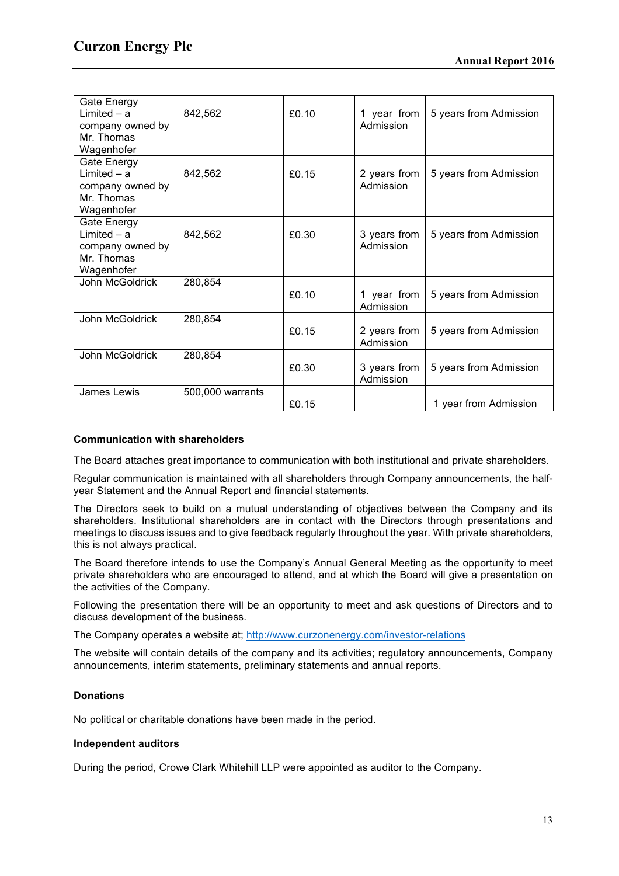| Gate Energy<br>Limited $- a$<br>company owned by<br>Mr. Thomas<br>Wagenhofer | 842,562          | £0.10 | year from<br>1.<br>Admission | 5 years from Admission |
|------------------------------------------------------------------------------|------------------|-------|------------------------------|------------------------|
| Gate Energy<br>Limited $-$ a<br>company owned by<br>Mr. Thomas<br>Wagenhofer | 842,562          | £0.15 | 2 years from<br>Admission    | 5 years from Admission |
| Gate Energy<br>Limited $-$ a<br>company owned by<br>Mr. Thomas<br>Wagenhofer | 842,562          | £0.30 | 3 years from<br>Admission    | 5 years from Admission |
| John McGoldrick                                                              | 280,854          | £0.10 | 1 year from<br>Admission     | 5 years from Admission |
| John McGoldrick                                                              | 280,854          | £0.15 | 2 years from<br>Admission    | 5 years from Admission |
| John McGoldrick                                                              | 280,854          | £0.30 | 3 years from<br>Admission    | 5 years from Admission |
| James Lewis                                                                  | 500,000 warrants | £0.15 |                              | 1 year from Admission  |

#### **Communication with shareholders**

The Board attaches great importance to communication with both institutional and private shareholders.

Regular communication is maintained with all shareholders through Company announcements, the halfyear Statement and the Annual Report and financial statements.

The Directors seek to build on a mutual understanding of objectives between the Company and its shareholders. Institutional shareholders are in contact with the Directors through presentations and meetings to discuss issues and to give feedback regularly throughout the year. With private shareholders, this is not always practical.

The Board therefore intends to use the Company's Annual General Meeting as the opportunity to meet private shareholders who are encouraged to attend, and at which the Board will give a presentation on the activities of the Company.

Following the presentation there will be an opportunity to meet and ask questions of Directors and to discuss development of the business.

The Company operates a website at; http://www.curzonenergy.com/investor-relations

The website will contain details of the company and its activities; regulatory announcements, Company announcements, interim statements, preliminary statements and annual reports.

#### **Donations**

No political or charitable donations have been made in the period.

#### **Independent auditors**

During the period, Crowe Clark Whitehill LLP were appointed as auditor to the Company.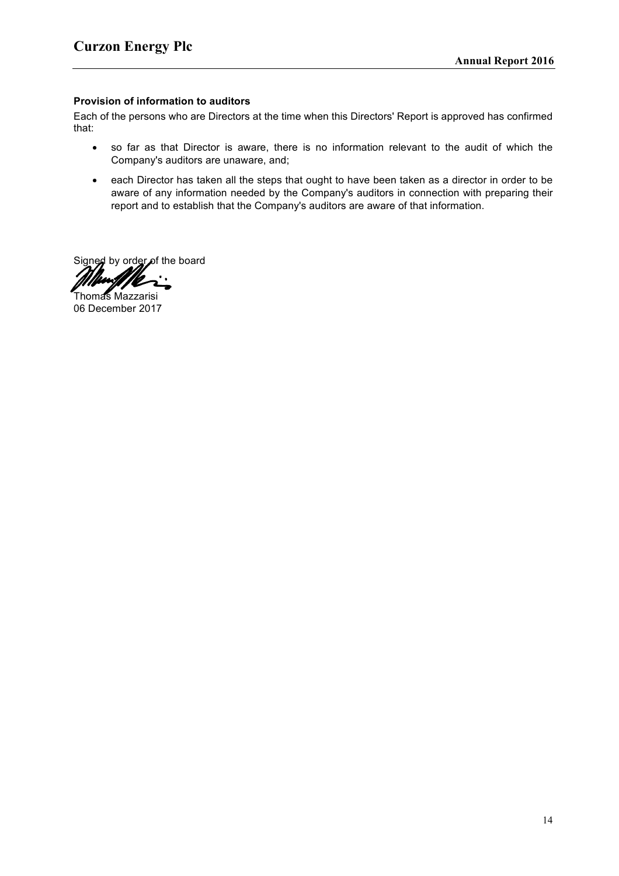### **Provision of information to auditors**

Each of the persons who are Directors at the time when this Directors' Report is approved has confirmed that:

- so far as that Director is aware, there is no information relevant to the audit of which the Company's auditors are unaware, and;
- each Director has taken all the steps that ought to have been taken as a director in order to be aware of any information needed by the Company's auditors in connection with preparing their report and to establish that the Company's auditors are aware of that information.

Signed by order of the board ٠.

Thomas Mazzarisi 06 December 2017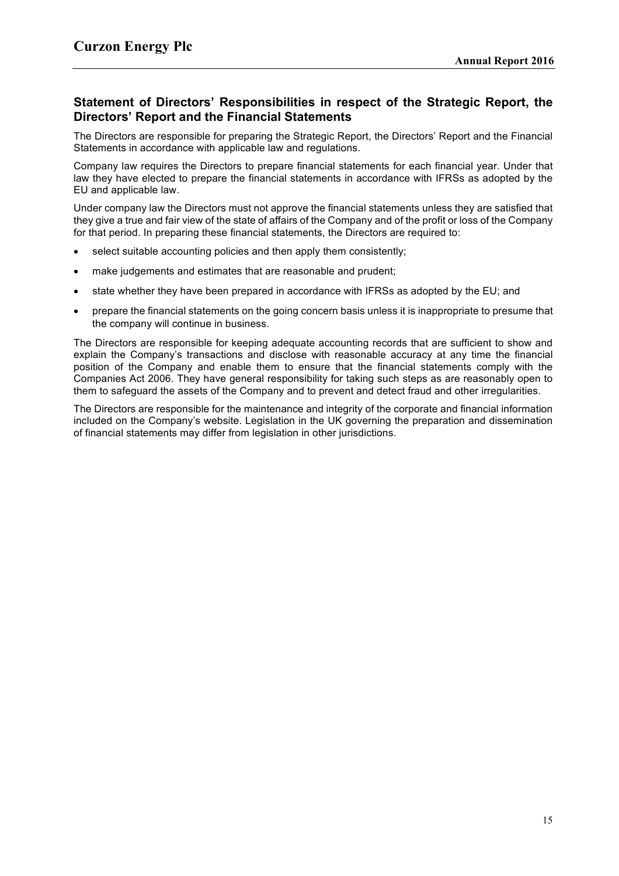# **Statement of Directors' Responsibilities in respect of the Strategic Report, the Directors' Report and the Financial Statements**

The Directors are responsible for preparing the Strategic Report, the Directors' Report and the Financial Statements in accordance with applicable law and regulations.

Company law requires the Directors to prepare financial statements for each financial year. Under that law they have elected to prepare the financial statements in accordance with IFRSs as adopted by the EU and applicable law.

Under company law the Directors must not approve the financial statements unless they are satisfied that they give a true and fair view of the state of affairs of the Company and of the profit or loss of the Company for that period. In preparing these financial statements, the Directors are required to:

- select suitable accounting policies and then apply them consistently;
- make judgements and estimates that are reasonable and prudent;
- state whether they have been prepared in accordance with IFRSs as adopted by the EU; and
- prepare the financial statements on the going concern basis unless it is inappropriate to presume that the company will continue in business.

The Directors are responsible for keeping adequate accounting records that are sufficient to show and explain the Company's transactions and disclose with reasonable accuracy at any time the financial position of the Company and enable them to ensure that the financial statements comply with the Companies Act 2006. They have general responsibility for taking such steps as are reasonably open to them to safeguard the assets of the Company and to prevent and detect fraud and other irregularities.

The Directors are responsible for the maintenance and integrity of the corporate and financial information included on the Company's website. Legislation in the UK governing the preparation and dissemination of financial statements may differ from legislation in other jurisdictions.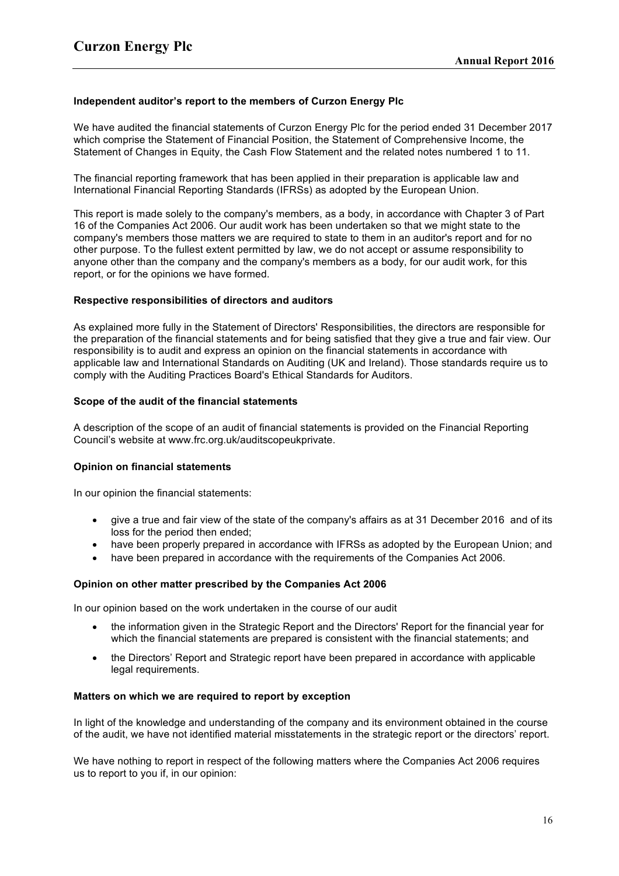#### **Independent auditor's report to the members of Curzon Energy Plc**

We have audited the financial statements of Curzon Energy Plc for the period ended 31 December 2017 which comprise the Statement of Financial Position, the Statement of Comprehensive Income, the Statement of Changes in Equity, the Cash Flow Statement and the related notes numbered 1 to 11.

The financial reporting framework that has been applied in their preparation is applicable law and International Financial Reporting Standards (IFRSs) as adopted by the European Union.

This report is made solely to the company's members, as a body, in accordance with Chapter 3 of Part 16 of the Companies Act 2006. Our audit work has been undertaken so that we might state to the company's members those matters we are required to state to them in an auditor's report and for no other purpose. To the fullest extent permitted by law, we do not accept or assume responsibility to anyone other than the company and the company's members as a body, for our audit work, for this report, or for the opinions we have formed.

#### **Respective responsibilities of directors and auditors**

As explained more fully in the Statement of Directors' Responsibilities, the directors are responsible for the preparation of the financial statements and for being satisfied that they give a true and fair view. Our responsibility is to audit and express an opinion on the financial statements in accordance with applicable law and International Standards on Auditing (UK and Ireland). Those standards require us to comply with the Auditing Practices Board's Ethical Standards for Auditors.

#### **Scope of the audit of the financial statements**

A description of the scope of an audit of financial statements is provided on the Financial Reporting Council's website at www.frc.org.uk/auditscopeukprivate.

#### **Opinion on financial statements**

In our opinion the financial statements:

- give a true and fair view of the state of the company's affairs as at 31 December 2016 and of its loss for the period then ended;
- have been properly prepared in accordance with IFRSs as adopted by the European Union; and
- have been prepared in accordance with the requirements of the Companies Act 2006.

#### **Opinion on other matter prescribed by the Companies Act 2006**

In our opinion based on the work undertaken in the course of our audit

- the information given in the Strategic Report and the Directors' Report for the financial year for which the financial statements are prepared is consistent with the financial statements; and
- the Directors' Report and Strategic report have been prepared in accordance with applicable legal requirements.

#### **Matters on which we are required to report by exception**

In light of the knowledge and understanding of the company and its environment obtained in the course of the audit, we have not identified material misstatements in the strategic report or the directors' report.

We have nothing to report in respect of the following matters where the Companies Act 2006 requires us to report to you if, in our opinion: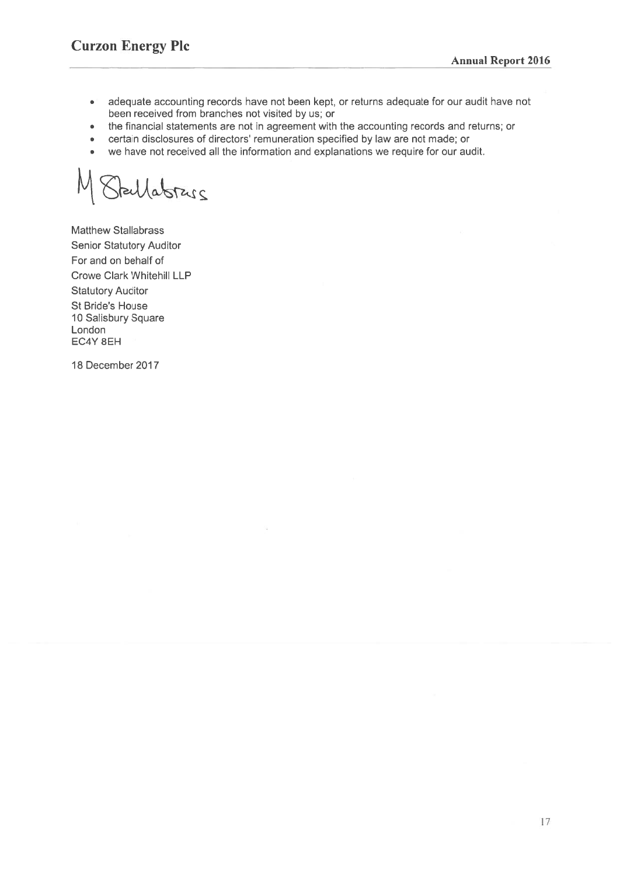- adequate accounting records have not been kept, or returns adequate for our audit have not  $\bullet$ been received from branches not visited by us; or
- the financial statements are not in agreement with the accounting records and returns; or  $\bullet$
- certain disclosures of directors' remuneration specified by law are not made; or  $\bullet$
- we have not received all the information and explanations we require for our audit.  $\bullet$

 $\mathcal{N}$ dellabrais

**Matthew Stallabrass Senior Statutory Auditor** For and on behalf of Crowe Clark Whitehill LLP **Statutory Auditor** St Bride's House 10 Salisbury Square London EC4Y 8EH

18 December 2017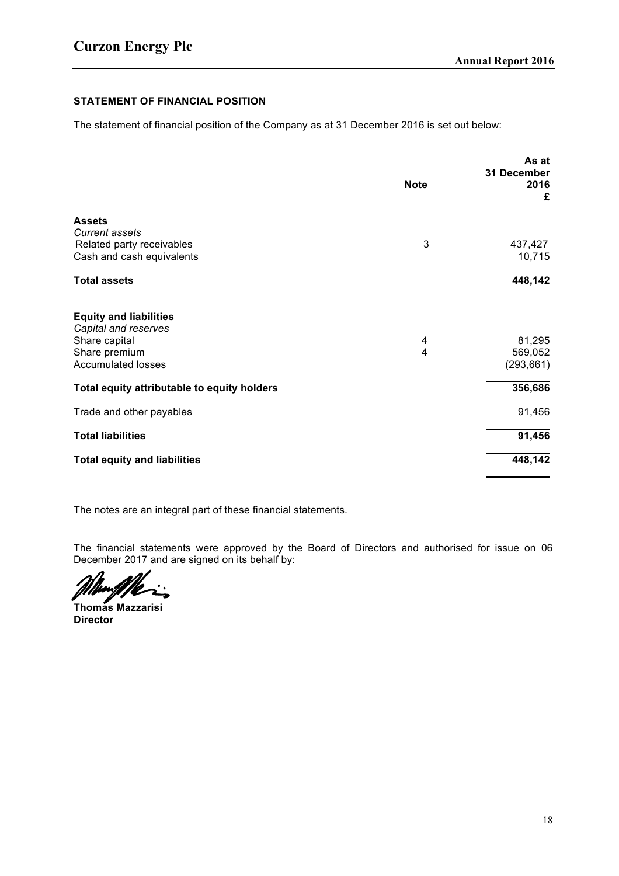# **STATEMENT OF FINANCIAL POSITION**

The statement of financial position of the Company as at 31 December 2016 is set out below:

|                                                       | <b>Note</b>    | As at<br>31 December<br>2016<br>£ |
|-------------------------------------------------------|----------------|-----------------------------------|
| <b>Assets</b>                                         |                |                                   |
| <b>Current assets</b>                                 |                |                                   |
| Related party receivables                             | 3              | 437,427                           |
| Cash and cash equivalents                             |                | 10,715                            |
| <b>Total assets</b>                                   |                | 448,142                           |
| <b>Equity and liabilities</b><br>Capital and reserves |                |                                   |
| Share capital                                         | 4              | 81,295                            |
| Share premium                                         | $\overline{4}$ | 569,052                           |
| <b>Accumulated losses</b>                             |                | (293, 661)                        |
| Total equity attributable to equity holders           |                | 356,686                           |
| Trade and other payables                              |                | 91,456                            |
| <b>Total liabilities</b>                              |                | 91,456                            |
| <b>Total equity and liabilities</b>                   |                | 448,142                           |

The notes are an integral part of these financial statements.

The financial statements were approved by the Board of Directors and authorised for issue on 06 December 2017 and are signed on its behalf by:

**Thomas Mazzarisi Director**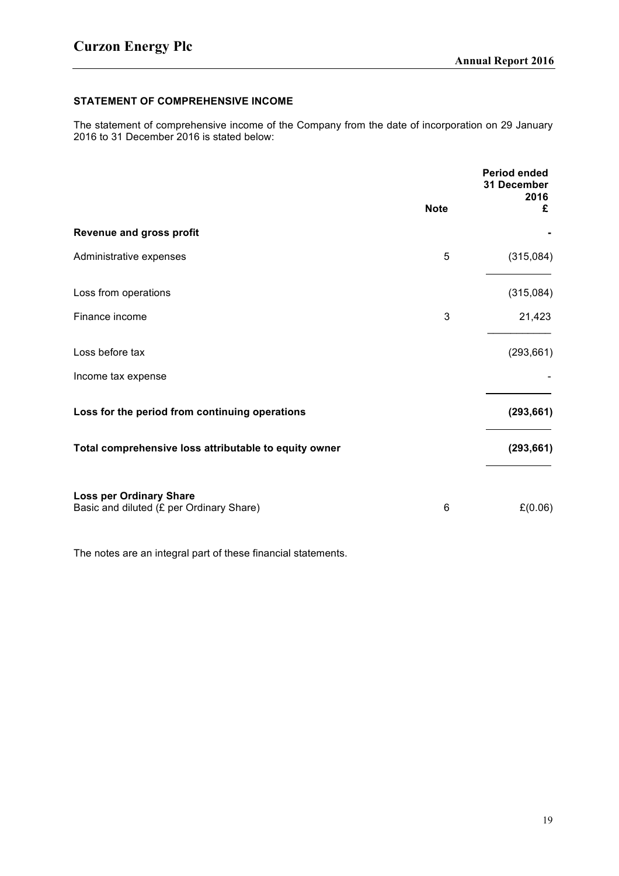## **STATEMENT OF COMPREHENSIVE INCOME**

The statement of comprehensive income of the Company from the date of incorporation on 29 January 2016 to 31 December 2016 is stated below:

|                                                                            |             | <b>Period ended</b><br>31 December<br>2016 |
|----------------------------------------------------------------------------|-------------|--------------------------------------------|
|                                                                            | <b>Note</b> | £                                          |
| <b>Revenue and gross profit</b>                                            |             |                                            |
| Administrative expenses                                                    | 5           | (315,084)                                  |
| Loss from operations                                                       |             | (315,084)                                  |
| Finance income                                                             | 3           | 21,423                                     |
| Loss before tax                                                            |             | (293, 661)                                 |
| Income tax expense                                                         |             |                                            |
| Loss for the period from continuing operations                             |             | (293, 661)                                 |
| Total comprehensive loss attributable to equity owner                      |             | (293, 661)                                 |
| <b>Loss per Ordinary Share</b><br>Basic and diluted (£ per Ordinary Share) | 6           | £(0.06)                                    |

The notes are an integral part of these financial statements.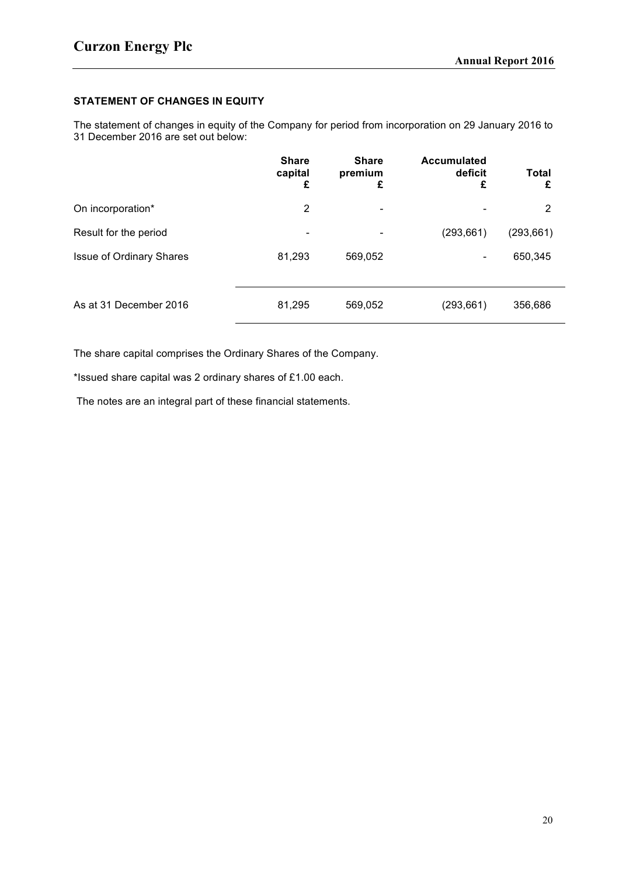# **STATEMENT OF CHANGES IN EQUITY**

The statement of changes in equity of the Company for period from incorporation on 29 January 2016 to 31 December 2016 are set out below:

|                                 | <b>Share</b><br>capital<br>£ | <b>Share</b><br>premium<br>£ | <b>Accumulated</b><br>deficit<br>£ | <b>Total</b><br>£ |  |
|---------------------------------|------------------------------|------------------------------|------------------------------------|-------------------|--|
| On incorporation*               | 2                            | ۰                            | $\overline{\phantom{a}}$           | 2                 |  |
| Result for the period           | ۰                            | $\overline{\phantom{0}}$     | (293, 661)                         | (293, 661)        |  |
| <b>Issue of Ordinary Shares</b> | 81,293                       | 569,052                      | $\overline{\phantom{a}}$           | 650,345           |  |
| As at 31 December 2016          | 81,295                       | 569,052                      | (293, 661)                         | 356,686           |  |

The share capital comprises the Ordinary Shares of the Company.

\*Issued share capital was 2 ordinary shares of £1.00 each.

The notes are an integral part of these financial statements.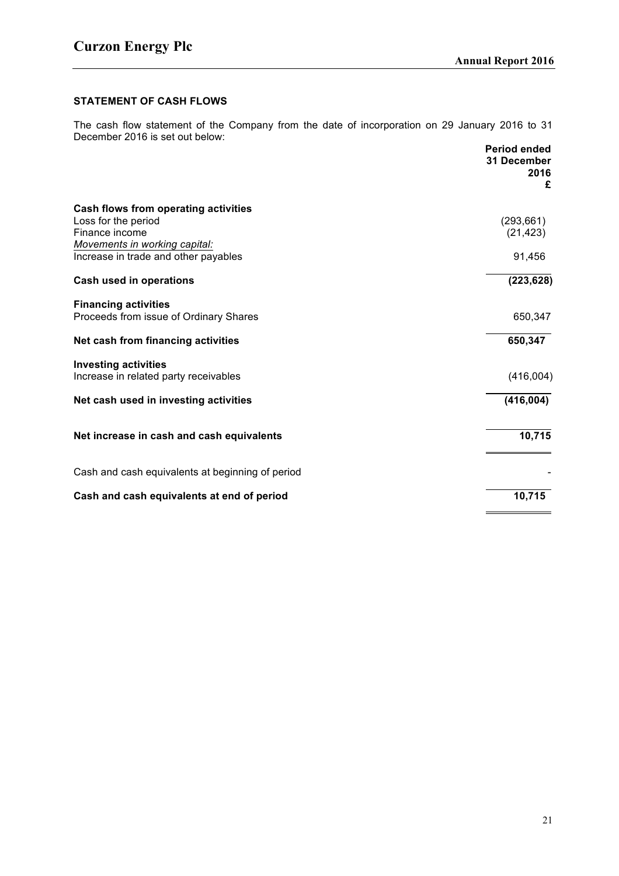# **STATEMENT OF CASH FLOWS**

The cash flow statement of the Company from the date of incorporation on 29 January 2016 to 31 December 2016 is set out below: **Period ended**

|                                                  | <b>Feriod ended</b><br>31 December<br>2016<br>£ |
|--------------------------------------------------|-------------------------------------------------|
| <b>Cash flows from operating activities</b>      |                                                 |
| Loss for the period<br>Finance income            | (293, 661)                                      |
| Movements in working capital:                    | (21, 423)                                       |
| Increase in trade and other payables             | 91,456                                          |
| <b>Cash used in operations</b>                   | (223, 628)                                      |
| <b>Financing activities</b>                      |                                                 |
| Proceeds from issue of Ordinary Shares           | 650,347                                         |
| Net cash from financing activities               | 650,347                                         |
| <b>Investing activities</b>                      |                                                 |
| Increase in related party receivables            | (416,004)                                       |
| Net cash used in investing activities            | (416, 004)                                      |
| Net increase in cash and cash equivalents        | 10,715                                          |
| Cash and cash equivalents at beginning of period |                                                 |
|                                                  |                                                 |
| Cash and cash equivalents at end of period       | 10,715                                          |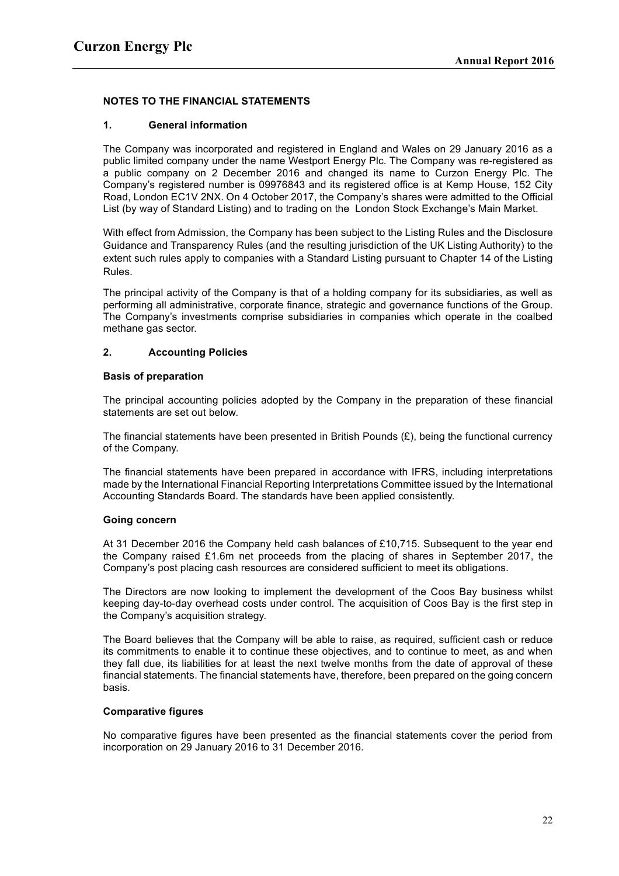### **NOTES TO THE FINANCIAL STATEMENTS**

#### **1. General information**

The Company was incorporated and registered in England and Wales on 29 January 2016 as a public limited company under the name Westport Energy Plc. The Company was re-registered as a public company on 2 December 2016 and changed its name to Curzon Energy Plc. The Company's registered number is 09976843 and its registered office is at Kemp House, 152 City Road, London EC1V 2NX. On 4 October 2017, the Company's shares were admitted to the Official List (by way of Standard Listing) and to trading on the London Stock Exchange's Main Market.

With effect from Admission, the Company has been subject to the Listing Rules and the Disclosure Guidance and Transparency Rules (and the resulting jurisdiction of the UK Listing Authority) to the extent such rules apply to companies with a Standard Listing pursuant to Chapter 14 of the Listing Rules.

The principal activity of the Company is that of a holding company for its subsidiaries, as well as performing all administrative, corporate finance, strategic and governance functions of the Group. The Company's investments comprise subsidiaries in companies which operate in the coalbed methane gas sector.

#### **2. Accounting Policies**

#### **Basis of preparation**

The principal accounting policies adopted by the Company in the preparation of these financial statements are set out below.

The financial statements have been presented in British Pounds  $(E)$ , being the functional currency of the Company.

The financial statements have been prepared in accordance with IFRS, including interpretations made by the International Financial Reporting Interpretations Committee issued by the International Accounting Standards Board. The standards have been applied consistently.

#### **Going concern**

At 31 December 2016 the Company held cash balances of £10,715. Subsequent to the year end the Company raised £1.6m net proceeds from the placing of shares in September 2017, the Company's post placing cash resources are considered sufficient to meet its obligations.

The Directors are now looking to implement the development of the Coos Bay business whilst keeping day-to-day overhead costs under control. The acquisition of Coos Bay is the first step in the Company's acquisition strategy.

The Board believes that the Company will be able to raise, as required, sufficient cash or reduce its commitments to enable it to continue these objectives, and to continue to meet, as and when they fall due, its liabilities for at least the next twelve months from the date of approval of these financial statements. The financial statements have, therefore, been prepared on the going concern basis.

#### **Comparative figures**

No comparative figures have been presented as the financial statements cover the period from incorporation on 29 January 2016 to 31 December 2016.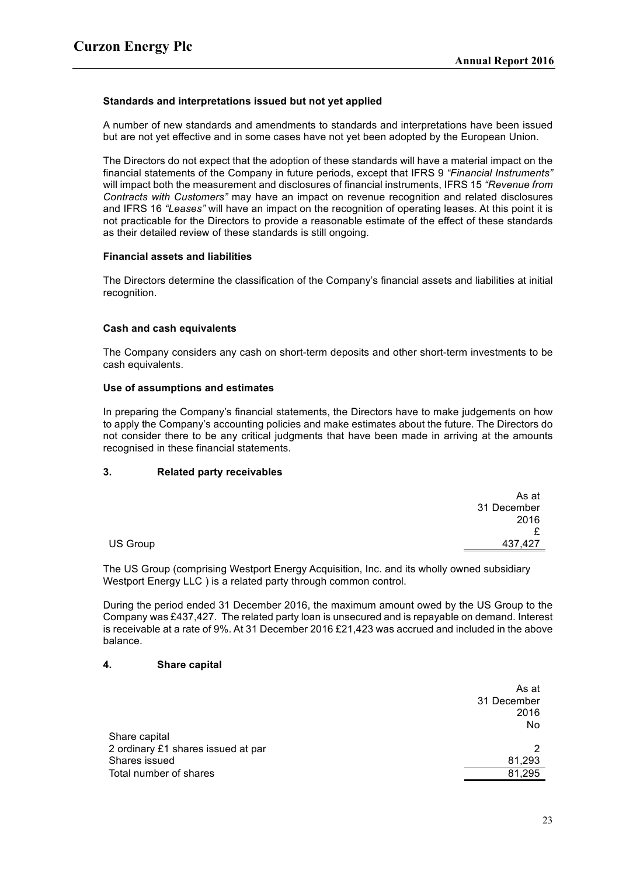#### **Standards and interpretations issued but not yet applied**

A number of new standards and amendments to standards and interpretations have been issued but are not yet effective and in some cases have not yet been adopted by the European Union.

The Directors do not expect that the adoption of these standards will have a material impact on the financial statements of the Company in future periods, except that IFRS 9 *"Financial Instruments"* will impact both the measurement and disclosures of financial instruments, IFRS 15 *"Revenue from Contracts with Customers"* may have an impact on revenue recognition and related disclosures and IFRS 16 *"Leases"* will have an impact on the recognition of operating leases. At this point it is not practicable for the Directors to provide a reasonable estimate of the effect of these standards as their detailed review of these standards is still ongoing.

#### **Financial assets and liabilities**

The Directors determine the classification of the Company's financial assets and liabilities at initial recognition.

#### **Cash and cash equivalents**

The Company considers any cash on short-term deposits and other short-term investments to be cash equivalents.

#### **Use of assumptions and estimates**

In preparing the Company's financial statements, the Directors have to make judgements on how to apply the Company's accounting policies and make estimates about the future. The Directors do not consider there to be any critical judgments that have been made in arriving at the amounts recognised in these financial statements.

#### **3. Related party receivables**

|          | As at       |
|----------|-------------|
|          | 31 December |
|          | 2016        |
|          | £           |
| US Group | 437,427     |

The US Group (comprising Westport Energy Acquisition, Inc. and its wholly owned subsidiary Westport Energy LLC ) is a related party through common control.

During the period ended 31 December 2016, the maximum amount owed by the US Group to the Company was £437,427. The related party loan is unsecured and is repayable on demand. Interest is receivable at a rate of 9%. At 31 December 2016 £21,423 was accrued and included in the above balance.

#### **4. Share capital**

|                                    | As at       |
|------------------------------------|-------------|
|                                    | 31 December |
|                                    | 2016        |
|                                    | <b>No</b>   |
| Share capital                      |             |
| 2 ordinary £1 shares issued at par | 2           |
| Shares issued                      | 81,293      |
| Total number of shares             | 81,295      |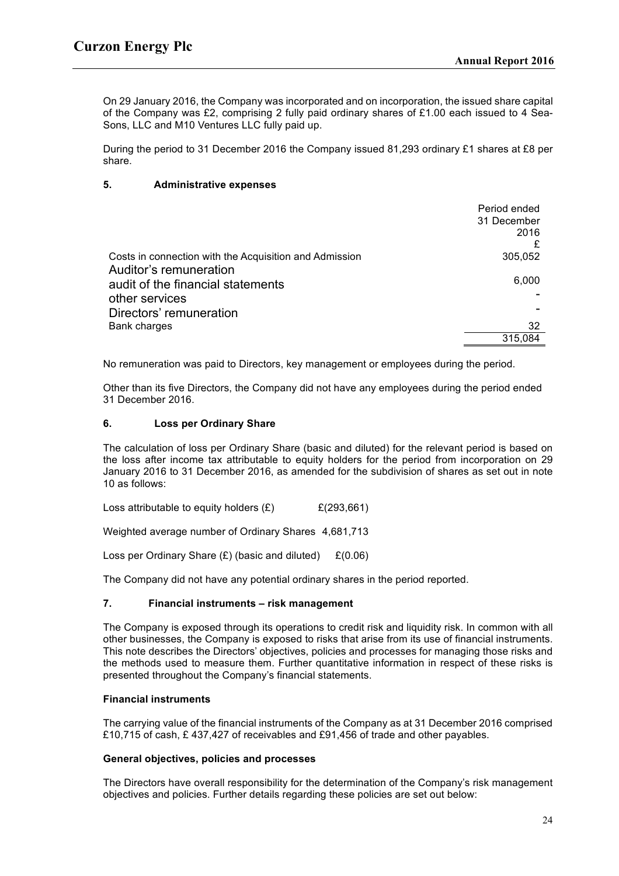On 29 January 2016, the Company was incorporated and on incorporation, the issued share capital of the Company was £2, comprising 2 fully paid ordinary shares of £1.00 each issued to 4 Sea-Sons, LLC and M10 Ventures LLC fully paid up.

During the period to 31 December 2016 the Company issued 81,293 ordinary £1 shares at £8 per share.

#### **5. Administrative expenses**

|                                                                                  | Period ended<br>31 December<br>2016 |
|----------------------------------------------------------------------------------|-------------------------------------|
| Costs in connection with the Acquisition and Admission<br>Auditor's remuneration | 305,052                             |
| audit of the financial statements                                                | 6,000                               |
| other services                                                                   |                                     |
| Directors' remuneration                                                          |                                     |
| Bank charges                                                                     | 32                                  |
|                                                                                  | 315,084                             |

No remuneration was paid to Directors, key management or employees during the period.

Other than its five Directors, the Company did not have any employees during the period ended 31 December 2016.

#### **6. Loss per Ordinary Share**

The calculation of loss per Ordinary Share (basic and diluted) for the relevant period is based on the loss after income tax attributable to equity holders for the period from incorporation on 29 January 2016 to 31 December 2016, as amended for the subdivision of shares as set out in note 10 as follows:

Loss attributable to equity holders  $(E)$   $E(293,661)$ 

Weighted average number of Ordinary Shares 4,681,713

Loss per Ordinary Share  $(E)$  (basic and diluted)  $E(0.06)$ 

The Company did not have any potential ordinary shares in the period reported.

#### **7. Financial instruments – risk management**

The Company is exposed through its operations to credit risk and liquidity risk. In common with all other businesses, the Company is exposed to risks that arise from its use of financial instruments. This note describes the Directors' objectives, policies and processes for managing those risks and the methods used to measure them. Further quantitative information in respect of these risks is presented throughout the Company's financial statements.

#### **Financial instruments**

The carrying value of the financial instruments of the Company as at 31 December 2016 comprised £10,715 of cash, £ 437,427 of receivables and £91,456 of trade and other payables.

#### **General objectives, policies and processes**

The Directors have overall responsibility for the determination of the Company's risk management objectives and policies. Further details regarding these policies are set out below: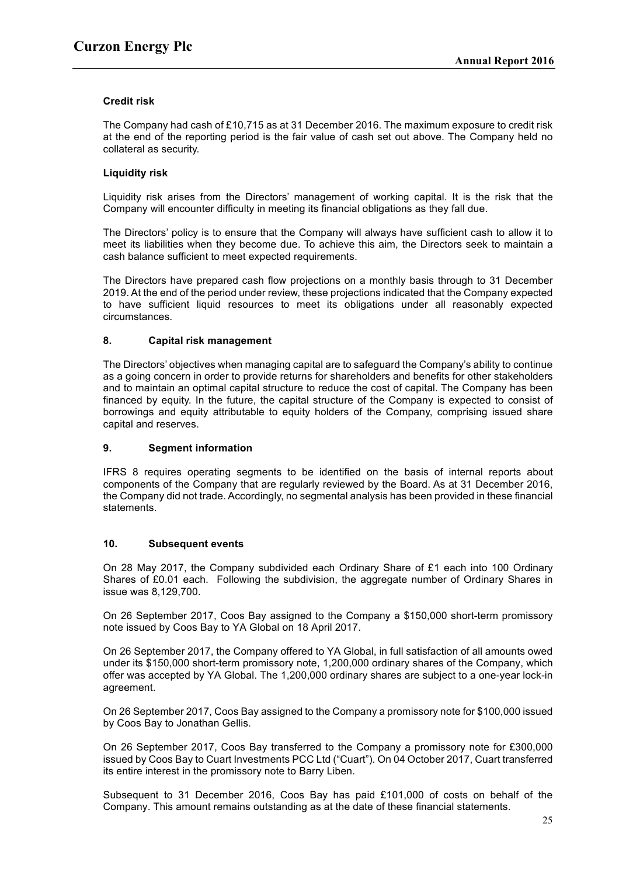#### **Credit risk**

The Company had cash of £10,715 as at 31 December 2016. The maximum exposure to credit risk at the end of the reporting period is the fair value of cash set out above. The Company held no collateral as security.

#### **Liquidity risk**

Liquidity risk arises from the Directors' management of working capital. It is the risk that the Company will encounter difficulty in meeting its financial obligations as they fall due.

The Directors' policy is to ensure that the Company will always have sufficient cash to allow it to meet its liabilities when they become due. To achieve this aim, the Directors seek to maintain a cash balance sufficient to meet expected requirements.

The Directors have prepared cash flow projections on a monthly basis through to 31 December 2019. At the end of the period under review, these projections indicated that the Company expected to have sufficient liquid resources to meet its obligations under all reasonably expected circumstances.

#### **8. Capital risk management**

The Directors' objectives when managing capital are to safeguard the Company's ability to continue as a going concern in order to provide returns for shareholders and benefits for other stakeholders and to maintain an optimal capital structure to reduce the cost of capital. The Company has been financed by equity. In the future, the capital structure of the Company is expected to consist of borrowings and equity attributable to equity holders of the Company, comprising issued share capital and reserves.

#### **9. Segment information**

IFRS 8 requires operating segments to be identified on the basis of internal reports about components of the Company that are regularly reviewed by the Board. As at 31 December 2016, the Company did not trade. Accordingly, no segmental analysis has been provided in these financial statements.

#### **10. Subsequent events**

On 28 May 2017, the Company subdivided each Ordinary Share of £1 each into 100 Ordinary Shares of £0.01 each. Following the subdivision, the aggregate number of Ordinary Shares in issue was 8,129,700.

On 26 September 2017, Coos Bay assigned to the Company a \$150,000 short-term promissory note issued by Coos Bay to YA Global on 18 April 2017.

On 26 September 2017, the Company offered to YA Global, in full satisfaction of all amounts owed under its \$150,000 short-term promissory note, 1,200,000 ordinary shares of the Company, which offer was accepted by YA Global. The 1,200,000 ordinary shares are subject to a one-year lock-in agreement.

On 26 September 2017, Coos Bay assigned to the Company a promissory note for \$100,000 issued by Coos Bay to Jonathan Gellis.

On 26 September 2017, Coos Bay transferred to the Company a promissory note for £300,000 issued by Coos Bay to Cuart Investments PCC Ltd ("Cuart"). On 04 October 2017, Cuart transferred its entire interest in the promissory note to Barry Liben.

Subsequent to 31 December 2016, Coos Bay has paid £101,000 of costs on behalf of the Company. This amount remains outstanding as at the date of these financial statements.